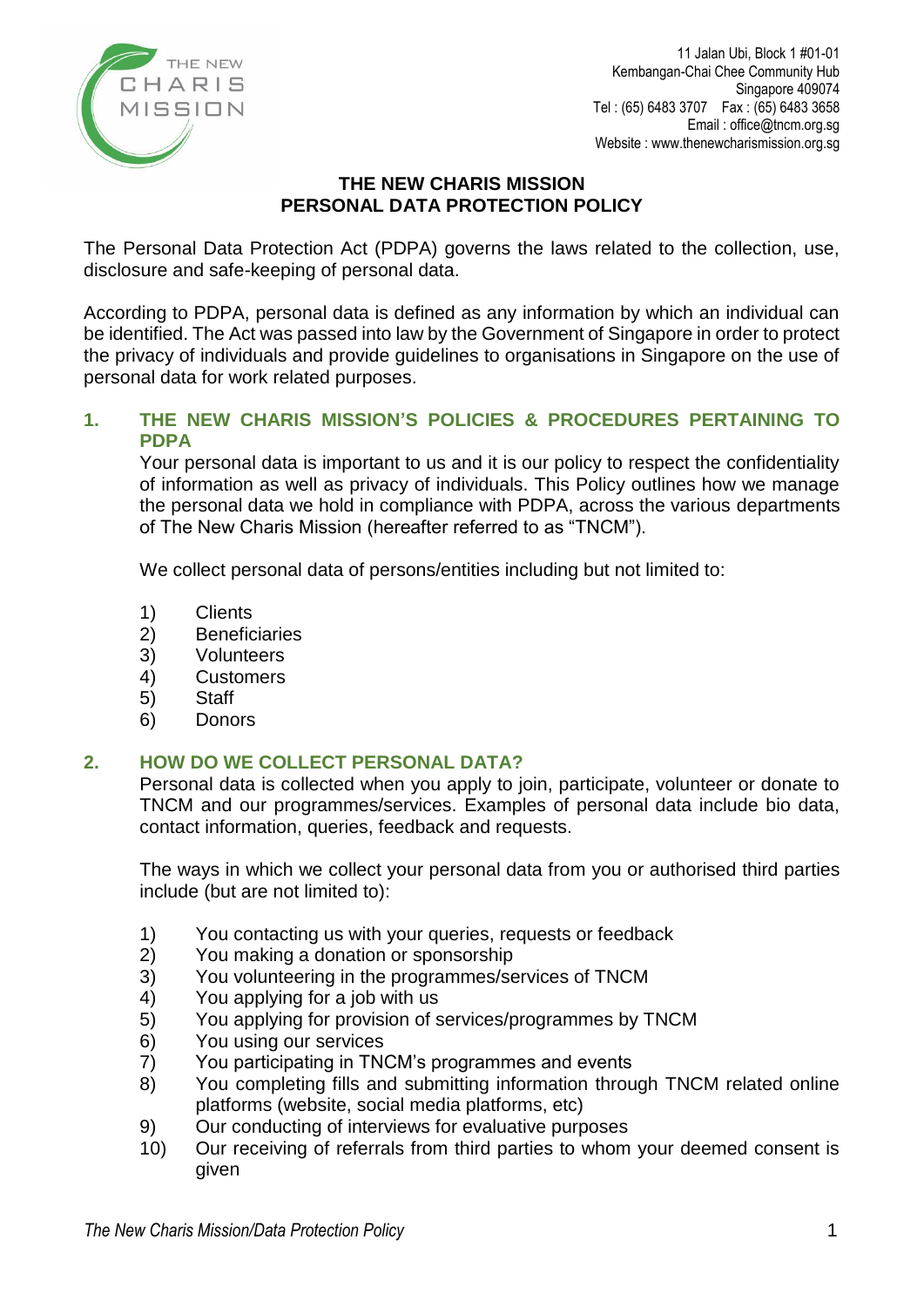

11 Jalan Ubi, Block 1 #01-01 Kembangan-Chai Chee Community Hub Singapore 409074 Tel : (65) 6483 3707 Fax : (65) 6483 3658 Email : office@tncm.org.sg Website : www.thenewcharismission.org.sg

## **THE NEW CHARIS MISSION PERSONAL DATA PROTECTION POLICY**

The Personal Data Protection Act (PDPA) governs the laws related to the collection, use, disclosure and safe-keeping of personal data.

According to PDPA, personal data is defined as any information by which an individual can be identified. The Act was passed into law by the Government of Singapore in order to protect the privacy of individuals and provide guidelines to organisations in Singapore on the use of personal data for work related purposes.

# **1. THE NEW CHARIS MISSION'S POLICIES & PROCEDURES PERTAINING TO PDPA**

Your personal data is important to us and it is our policy to respect the confidentiality of information as well as privacy of individuals. This Policy outlines how we manage the personal data we hold in compliance with PDPA, across the various departments of The New Charis Mission (hereafter referred to as "TNCM").

We collect personal data of persons/entities including but not limited to:

- 1) Clients
- 2) Beneficiaries
- 3) Volunteers
- 4) Customers
- 5) Staff
- 6) Donors

## **2. HOW DO WE COLLECT PERSONAL DATA?**

Personal data is collected when you apply to join, participate, volunteer or donate to TNCM and our programmes/services. Examples of personal data include bio data, contact information, queries, feedback and requests.

The ways in which we collect your personal data from you or authorised third parties include (but are not limited to):

- 1) You contacting us with your queries, requests or feedback
- 2) You making a donation or sponsorship
- 3) You volunteering in the programmes/services of TNCM
- 4) You applying for a job with us
- 5) You applying for provision of services/programmes by TNCM
- 6) You using our services<br>7) You participating in TN
- 7) You participating in TNCM's programmes and events
- 8) You completing fills and submitting information through TNCM related online platforms (website, social media platforms, etc)
- 9) Our conducting of interviews for evaluative purposes
- 10) Our receiving of referrals from third parties to whom your deemed consent is given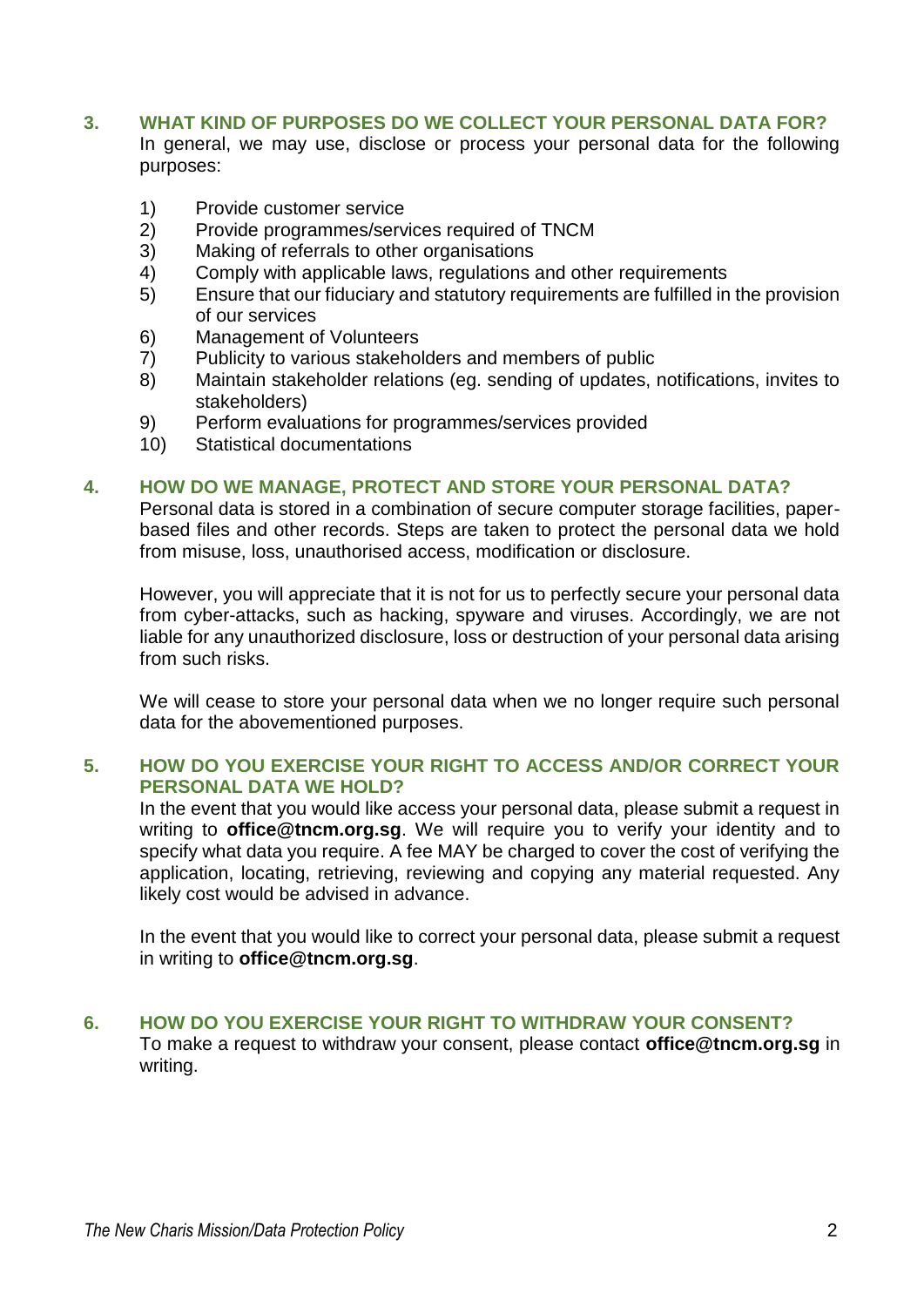# **3. WHAT KIND OF PURPOSES DO WE COLLECT YOUR PERSONAL DATA FOR?**

In general, we may use, disclose or process your personal data for the following purposes:

- 1) Provide customer service
- 2) Provide programmes/services required of TNCM
- 3) Making of referrals to other organisations
- 4) Comply with applicable laws, regulations and other requirements
- 5) Ensure that our fiduciary and statutory requirements are fulfilled in the provision of our services
- 6) Management of Volunteers
- 7) Publicity to various stakeholders and members of public
- 8) Maintain stakeholder relations (eg. sending of updates, notifications, invites to stakeholders)
- 9) Perform evaluations for programmes/services provided
- 10) Statistical documentations

### **4. HOW DO WE MANAGE, PROTECT AND STORE YOUR PERSONAL DATA?**

Personal data is stored in a combination of secure computer storage facilities, paperbased files and other records. Steps are taken to protect the personal data we hold from misuse, loss, unauthorised access, modification or disclosure.

However, you will appreciate that it is not for us to perfectly secure your personal data from cyber-attacks, such as hacking, spyware and viruses. Accordingly, we are not liable for any unauthorized disclosure, loss or destruction of your personal data arising from such risks.

We will cease to store your personal data when we no longer require such personal data for the abovementioned purposes.

## **5. HOW DO YOU EXERCISE YOUR RIGHT TO ACCESS AND/OR CORRECT YOUR PERSONAL DATA WE HOLD?**

In the event that you would like access your personal data, please submit a request in writing to **office@tncm.org.sg**. We will require you to verify your identity and to specify what data you require. A fee MAY be charged to cover the cost of verifying the application, locating, retrieving, reviewing and copying any material requested. Any likely cost would be advised in advance.

In the event that you would like to correct your personal data, please submit a request in writing to **[office@tncm.org.sg](mailto:office@tncm.org.sg)**.

## **6. HOW DO YOU EXERCISE YOUR RIGHT TO WITHDRAW YOUR CONSENT?**

To make a request to withdraw your consent, please contact **[office@tncm.org.sg](mailto:office@tncm.org.sg)** in writing.